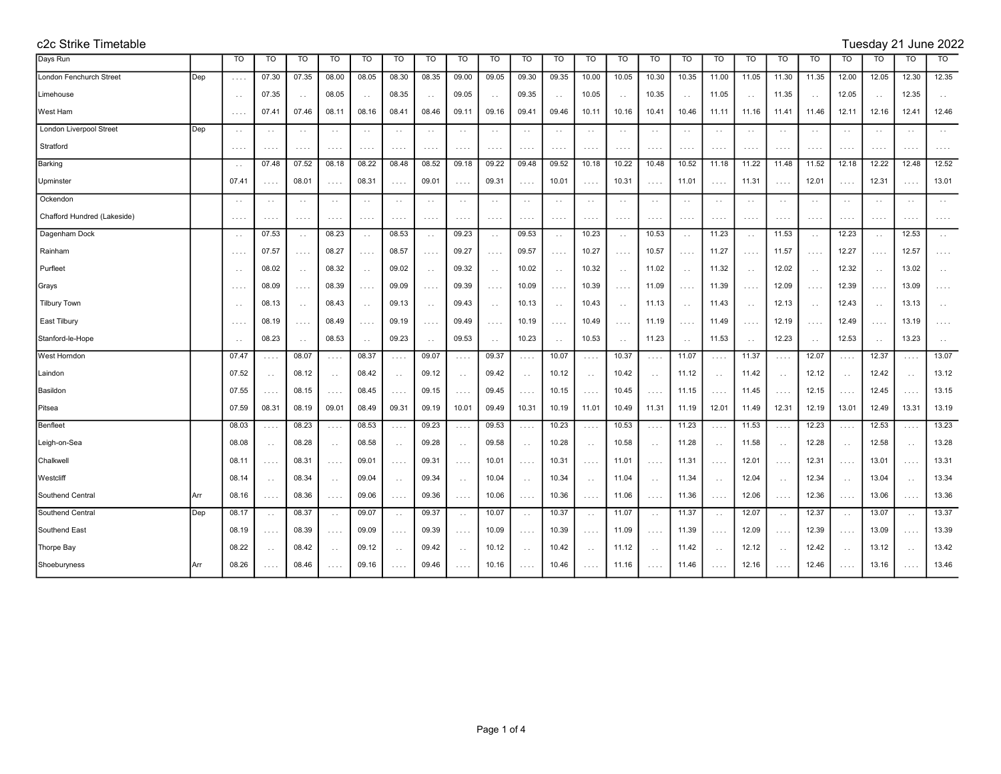| c2c Strike Timetable        |     |                             |                                |                      |               |                      |               |                      |               |                      |                         |               |                      |               |                      |               |                             |                        |                      |                             |               |                      |               | Tuesday 21 June 2022 |
|-----------------------------|-----|-----------------------------|--------------------------------|----------------------|---------------|----------------------|---------------|----------------------|---------------|----------------------|-------------------------|---------------|----------------------|---------------|----------------------|---------------|-----------------------------|------------------------|----------------------|-----------------------------|---------------|----------------------|---------------|----------------------|
| Days Run                    |     | TO                          | TO                             | TO                   | TO            | TO                   | TO            | <b>TO</b>            | TO            | TO                   | TO                      | TO            | TO                   | TO            | TO                   | TO            | TO                          | TO                     | TO                   | TO                          | TO            | <b>TO</b>            | TO            | $\overline{10}$      |
| London Fenchurch Street     | Dep | $\sim$ $\sim$ $\sim$ $\sim$ | 07.30                          | 07.35                | 08.00         | 08.05                | 08.30         | 08.35                | 09.00         | 09.05                | 09.30                   | 09.35         | 10.00                | 10.05         | 10.30                | 10.35         | 11.00                       | 11.05                  | 11.30                | 11.35                       | 12.00         | 12.05                | 12.30         | 12.35                |
| Limehouse                   |     | $\ddots$                    | 07.35                          | $\ddots$             | 08.05         | $\sim$               | 08.35         | $\sim$               | 09.05         |                      | 09.35                   |               | 10.05                | $\sim$ $\sim$ | 10.35                | $\sim$ .      | 11.05                       | $\ddotsc$              | 11.35                | $\ddots$                    | 12.05         | $\sim$               | 12.35         |                      |
| West Ham                    |     | $\ldots$ .                  | 07.41                          | 07.46                | 08.11         | 08.16                | 08.41         | 08.46                | 09.11         | 09.16                | 09.41                   | 09.46         | 10.11                | 10.16         | 10.41                | 10.46         | 11.11                       | 11.16                  | 11.41                | 11.46                       | 12.11         | 12.16                | 12.41         | 12.46                |
| London Liverpool Street     | Dep | $\sim$                      | $\ddotsc$                      | $\ddot{\phantom{0}}$ | $\sim$ $\sim$ | $\sim$ $\sim$        | $\sim$ $\sim$ | $\sim$ $\sim$        | $\sim$ $\sim$ | $\ddotsc$            | $\ddotsc$               | $\sim$        | $\sim$ $\sim$        | $\sim$ $\sim$ | $\sim$ $\sim$        | $\sim$        | $\sim$ $\sim$               | $\ddotsc$              | $\sim$ $\sim$        | $\sim$                      | $\sim$ $\sim$ | $\sim$               | $\sim$ $\sim$ | $\sim$ $\sim$        |
| Stratford                   |     | $\ldots$ .                  | $\cdots$                       | $\cdots$             | $\cdots$      | $\sim$ $\sim$ $\sim$ | .             | $\sim$ $\sim$ $\sim$ | $\cdots$      | $\ldots$ .           | $\cdots$                | $\cdots$      | $\ldots$ .           | .             | $\sim$ $\sim$ $\sim$ | $\ldots$ .    | $\ldots$ .                  | $\cdots$               | $\cdots$             | $\cdots$                    | .             | $\sim$ $\sim$ $\sim$ | $\cdots$      | .                    |
| Barking                     |     | $\sim$ .                    | 07.48                          | 07.52                | 08.18         | 08.22                | 08.48         | 08.52                | 09.18         | 09.22                | 09.48                   | 09.52         | 10.18                | 10.22         | 10.48                | 10.52         | 11.18                       | 11.22                  | 11.48                | 11.52                       | 12.18         | 12.22                | 12.48         | 12.52                |
| Upminster                   |     | 07.41                       | .                              | 08.01                |               | 08.31                | $\cdots$      | 09.01                | $\cdots$      | 09.31                | $\cdots$                | 10.01         | $\ldots$ .           | 10.31         | $\ldots$ .           | 11.01         | $\ldots$                    | 11.31                  |                      | 12.01                       | $\cdots$      | 12.31                | $\ldots$ .    | 13.01                |
| Ockendon                    |     | $\ddots$                    | $\ldots$                       | $\sim$ .             | $\sim$ $\sim$ | $\cdots$             | $\sim$ $\sim$ | $\sim$ $\sim$        | $\sim$ $\sim$ | $\ddotsc$            | $\sim$ .                | $\sim$ $\sim$ | $\cdots$             | $\sim$ .      | $\sim$ $\sim$        | $\sim$ $\sim$ | $\sim$ $\sim$               | $\ddots$               | $\sim$ $\sim$        | $\cdots$                    | $\sim$ $\sim$ | $\ldots$             | $\sim$ $\sim$ | $\sim$ $\sim$        |
| Chafford Hundred (Lakeside) |     | $\ldots$ .                  | $\cdots$                       | $\cdots$             | $\cdots$      | $\cdots$             | $\cdots$      | $\cdots$             | $\cdots$      | $\cdots$             | $\cdots$                | $\cdots$      | $\cdots$             | $\cdots$      | $\cdots$             | $\ldots$ .    | $\sim$ $\sim$ $\sim$ $\sim$ | $\cdots$               | $\cdots$             | $\sim$ $\sim$ $\sim$        | $\cdots$      | $\cdots$             | $\cdots$      | .                    |
| Dagenham Dock               |     | $\sim$ $\sim$               | 07.53                          | $\ldots$             | 08.23         | $\sim$ .             | 08.53         | $\ddots$             | 09.23         | $\cdot$ .            | 09.53                   | $\sim$ .      | 10.23                | $\sim$ $\sim$ | 10.53                | $\sim$        | 11.23                       | $\sim$ .               | 11.53                | $\sim$ .                    | 12.23         | $\sim$ .             | 12.53         | $\ddotsc$            |
| Rainham                     |     | $\sim$ $\sim$ $\sim$ $\sim$ | 07.57                          | $\ldots$ .           | 08.27         | $\ldots$ .           | 08.57         | $\sim$ $\sim$ $\sim$ | 09.27         | $\ldots$ .           | 09.57                   | $\cdots$      | 10.27                | $\cdots$      | 10.57                | $\cdots$      | 11.27                       | $\ldots$ .             | 11.57                | $\ldots$ .                  | 12.27         | $\sim$ $\sim$ $\sim$ | 12.57         | $\cdots$             |
| Purfleet                    |     | $\sim$ $\sim$               | 08.02                          | $\ddots$             | 08.32         | $\sim$ .             | 09.02         | $\ddots$             | 09.32         | $\sim$ .             | 10.02                   | $\ldots$      | 10.32                | $\sim$ $\sim$ | 11.02                | $\sim$ .      | 11.32                       | $\ddot{\phantom{1}}$ . | 12.02                | $\sim$ .                    | 12.32         | $\ddots$             | 13.02         |                      |
| Grays                       |     | $\sim$ $\sim$ $\sim$ $\sim$ | 08.09                          | $\cdots$             | 08.39         | $\ldots$ .           | 09.09         | $\sim$ $\sim$ $\sim$ | 09.39         | $\sim$ $\sim$ $\sim$ | 10.09                   | $\cdots$      | 10.39                | $\cdots$      | 11.09                | $\cdots$      | 11.39                       | $\ldots$ .             | 12.09                | $\sim$ $\sim$ $\sim$ $\sim$ | 12.39         | $\sim$ $\sim$ $\sim$ | 13.09         | $\cdots$             |
| <b>Tilbury Town</b>         |     | $\sim$                      | 08.13                          | $\sim$ $\sim$        | 08.43         | $\cdots$             | 09.13         | $\sim$ $\sim$        | 09.43         | $\sim$ $\sim$        | 10.13                   | $\sim$        | 10.43                | $\sim$ $\sim$ | 11.13                | $\sim$ .      | 11.43                       | $\sim$ .               | 12.13                | $\cdots$                    | 12.43         | $\sim$               | 13.13         | $\ddotsc$            |
| East Tilbury                |     | $\sim$ $\sim$ $\sim$        | 08.19                          | $\ldots$ .           | 08.49         | $\sim$ $\sim$ $\sim$ | 09.19         | $\ldots$             | 09.49         | $\cdots$             | 10.19                   | $\cdots$      | 10.49                | $\cdots$      | 11.19                | .             | 11.49                       | $\ldots$               | 12.19                | $\ldots$ .                  | 12.49         | $\ldots$             | 13.19         | $\cdots$             |
| Stanford-le-Hope            |     | $\sim$ .                    | 08.23                          | $\sim$ .             | 08.53         | $\sim$ .             | 09.23         | $\ddots$             | 09.53         | $\ddots$             | 10.23                   | $\sim$ $\sim$ | 10.53                | $\sim$ $\sim$ | 11.23                | $\sim$ .      | 11.53                       | $\sim$ .               | 12.23                | $\sim$ .                    | 12.53         | $\sim$ .             | 13.23         | $\sim$ $\sim$        |
| West Horndon                |     | 07.47                       | $\sim$ $\sim$ $\sim$           | 08.07                | $\ldots$ .    | 08.37                | $\cdots$      | 09.07                | $\ldots$ .    | 09.37                | $\cdots$ .              | 10.07         | $\ldots$ .           | 10.37         | $\ldots$ .           | 11.07         | $\sim$                      | 11.37                  | $\ldots$ .           | 12.07                       | .             | 12.37                | $\ldots$ .    | 13.07                |
| Laindon                     |     | 07.52                       | $\ddotsc$                      | 08.12                | $\ddotsc$     | 08.42                | $\sim$ $\sim$ | 09.12                | $\sim$ .      | 09.42                | $\sim$ .                | 10.12         | $\sim$               | 10.42         | $\ddots$             | 11.12         | $\ddotsc$                   | 11.42                  | $\ddot{\phantom{0}}$ | 12.12                       | $\ddots$      | 12.42                | $\sim$ $\sim$ | 13.12                |
| <b>Basildon</b>             |     | 07.55                       | $\cdots$                       | 08.15                | $\cdots$      | 08.45                | .             | 09.15                | $\cdots$      | 09.45                | $\cdots$                | 10.15         | $\ldots$             | 10.45         | $\ldots$ .           | 11.15         | $\cdots$                    | 11.45                  | $\cdots$             | 12.15                       | .             | 12.45                | $\cdots$      | 13.15                |
| Pitsea                      |     | 07.59                       | 08.31                          | 08.19                | 09.01         | 08.49                | 09.31         | 09.19                | 10.01         | 09.49                | 10.31                   | 10.19         | 11.01                | 10.49         | 11.31                | 11.19         | 12.01                       | 11.49                  | 12.31                | 12.19                       | 13.01         | 12.49                | 13.31         | 13.19                |
| Benfleet                    |     | 08.03                       | $\sim$ $\sim$ $\sim$           | 08.23                | $\cdots$      | 08.53                | $\cdots$      | 09.23                | $\ldots$ .    | 09.53                | $\ldots$ .              | 10.23         | $\ldots$ .           | 10.53         | $\ldots$ .           | 11.23         | $\sim$ $\sim$ $\sim$        | 11.53                  | $\cdots$             | 12.23                       | $\cdots$      | 12.53                | $\ldots$ .    | 13.23                |
| Leigh-on-Sea                |     | 08.08                       | $\ddotsc$                      | 08.28                | $\ldots$      | 08.58                | $\sim$ .      | 09.28                | $\sim$ $\sim$ | 09.58                | $\sim$ $\sim$           | 10.28         | $\sim$               | 10.58         | $\ddots$             | 11.28         | $\ddotsc$                   | 11.58                  | $\ddotsc$            | 12.28                       | $\ddotsc$     | 12.58                | $\sim$ $\sim$ | 13.28                |
| Chalkwell                   |     | 08.11                       | $\ldots$ .                     | 08.31                | $\cdots$      | 09.01                | $\cdots$      | 09.31                | $\cdots$      | 10.01                | $\sim$ $\sim$ $\sim$    | 10.31         | $\ldots$ .           | 11.01         | $\sim$ $\sim$ $\sim$ | 11.31         | $\cdots$                    | 12.01                  | $\cdots$             | 12.31                       | $\cdots$      | 13.01                | $\ldots$ .    | 13.31                |
| Westcliff                   |     | 08.14                       | $\cdots$                       | 08.34                | $\sim$        | 09.04                | $\sim$ .      | 09.34                | $\sim$ $\sim$ | 10.04                | $\sim$ $\sim$           | 10.34         | $\sim$ $\sim$        | 11.04         | $\sim$ .             | 11.34         | $\ddotsc$                   | 12.04                  | $\sim$               | 12.34                       | $\ddotsc$     | 13.04                | $\sim$ .      | 13.34                |
| Southend Central            | Arr | 08.16                       | $\cdots$                       | 08.36                |               | 09.06                | $\ldots$ .    | 09.36                | $\ldots$ .    | 10.06                | $\ldots$ .              | 10.36         | $\sim$ $\sim$ $\sim$ | 11.06         | $\sim$ $\sim$ $\sim$ | 11.36         | $\ldots$                    | 12.06                  | $\cdots$             | 12.36                       | $\ldots$      | 13.06                | $\ldots$ .    | 13.36                |
| Southend Central            | Dep | 08.17                       | $\ddotsc$                      | 08.37                | $\sim$ $\sim$ | 09.07                | $\sim$ $\sim$ | 09.37                | $\sim$ .      | 10.07                | $\sim$ .                | 10.37         | $\cdots$             | 11.07         | $\ddotsc$            | 11.37         | $\ddotsc$                   | 12.07                  | $\sim$ $\sim$        | 12.37                       | $\sim$ $\sim$ | 13.07                | $\sim$ .      | 13.37                |
| Southend East               |     | 08.19                       | $\alpha$ , $\alpha$ , $\alpha$ | 08.39                | $\cdots$      | 09.09                | $\cdots$      | 09.39                | $\cdots$      | 10.09                | $\cdots$ .              | 10.39         | $\ldots$ .           | 11.09         | $\sim$ $\sim$ $\sim$ | 11.39         | $\sim$ $\sim$ $\sim$        | 12.09                  | $\cdots$             | 12.39                       | $\cdots$      | 13.09                | $\ldots$ .    | 13.39                |
| Thorpe Bay                  |     | 08.22                       | $\ddotsc$                      | 08.42                | $\ddotsc$     | 09.12                | $\ddotsc$     | 09.42                | $\sim$ .      | 10.12                | $\sim$ .                | 10.42         | $\sim$               | 11.12         | $\ddots$             | 11.42         | $\ddotsc$                   | 12.12                  | $\ddot{\phantom{0}}$ | 12.42                       | $\ddotsc$     | 13.12                | $\sim$ $\sim$ | 13.42                |
| Shoeburyness                | Arr | 08.26                       | $\cdots$                       | 08.46                | .             | 09.16                | $\cdots$      | 09.46                | $\cdots$      | 10.16                | $\cdot$ $\cdot$ $\cdot$ | 10.46         | $\ldots$ .           | 11.16         | $\sim$ $\sim$ $\sim$ | 11.46         | $\cdots$                    | 12.16                  | $\cdots$             | 12.46                       | $\cdots$      | 13.16                | $\cdots$      | 13.46                |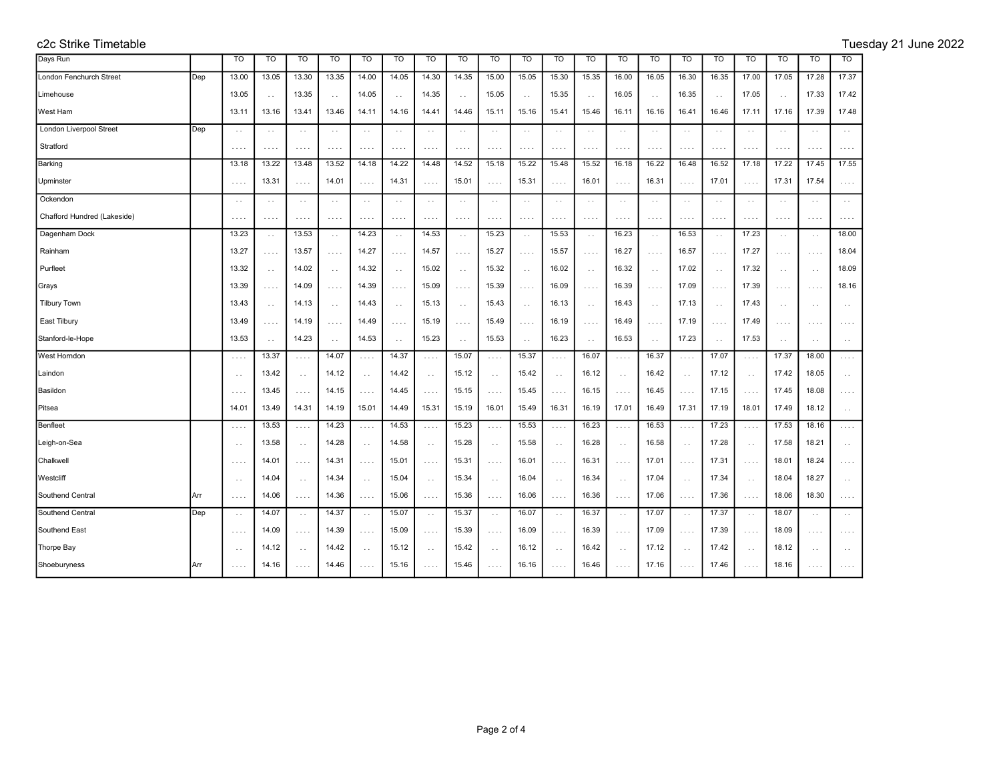| Tuesday 21 June 2022<br>c <sub>2</sub> c Strike Timetable |     |               |                             |               |               |                      |               |               |               |               |                      |               |                      |               |                      |                                     |               |                                |               |                             |               |  |
|-----------------------------------------------------------|-----|---------------|-----------------------------|---------------|---------------|----------------------|---------------|---------------|---------------|---------------|----------------------|---------------|----------------------|---------------|----------------------|-------------------------------------|---------------|--------------------------------|---------------|-----------------------------|---------------|--|
| Days Run                                                  |     | TO            | TO                          | <b>TO</b>     | TO            | TO                   | TO            | TO            | TO            | TO            | TO                   | TO            | TO                   | TO            | TO                   | TO                                  | TO            | TO                             | TO            | TO                          | TO            |  |
| London Fenchurch Street                                   | Dep | 13.00         | 13.05                       | 13.30         | 13.35         | 14.00                | 14.05         | 14.30         | 14.35         | 15.00         | 15.05                | 15.30         | 15.35                | 16.00         | 16.05                | 16.30                               | 16.35         | 17.00                          | 17.05         | 17.28                       | 17.37         |  |
| Limehouse                                                 |     | 13.05         | $\ldots$                    | 13.35         | $\epsilon$ .  | 14.05                | $\sim$        | 14.35         | $\sim$ .      | 15.05         | $\sim$               | 15.35         | $\sim$               | 16.05         | $\ddotsc$            | 16.35                               | $\ldots$      | 17.05                          | $\cdot$ .     | 17.33                       | 17.42         |  |
| West Ham                                                  |     | 13.11         | 13.16                       | 13.41         | 13.46         | 14.11                | 14.16         | 14.41         | 14.46         | 15.11         | 15.16                | 15.41         | 15.46                | 16.11         | 16.16                | 16.41                               | 16.46         | 17.11                          | 17.16         | 17.39                       | 17.48         |  |
| London Liverpool Street                                   | Dep | $\sim$ $\sim$ | $\sim$ $\sim$               | $\sim$ .      | $\sim$ $\sim$ | $\sim$ $\sim$        | $\sim$ .      | $\sim$ .      | $\sim$ $\sim$ | $\sim$ $\sim$ | $\sim$ $\sim$        | $\sim$ $\sim$ | $\sim$ $\sim$        | $\sim$ .      | $\sim$ $\sim$        | $\sim$ $\sim$                       | $\sim$ $\sim$ | $\sim$ .                       | $\sim$ $\sim$ | $\sim$ .                    | $\sim$ .      |  |
| Stratford                                                 |     | $\cdots$      | $\sim$ $\sim$ $\sim$ $\sim$ | $\cdots$ .    | .             | $\sim$ $\sim$ $\sim$ | $\ldots$ .    | $\cdots$      | $\cdots$      | $\cdots$      | $\cdots$             | .             | $\sim$ $\sim$ $\sim$ | $\cdots$      | $\sim$ $\sim$ $\sim$ | $\cdots$ .                          | $\cdots$      | $\cdots$                       | .             | $\ldots$ .                  | $\cdots$      |  |
| Barking                                                   |     | 13.18         | 13.22                       | 13.48         | 13.52         | 14.18                | 14.22         | 14.48         | 14.52         | 15.18         | 15.22                | 15.48         | 15.52                | 16.18         | 16.22                | 16.48                               | 16.52         | 17.18                          | 17.22         | 17.45                       | 17.55         |  |
| Upminster                                                 |     | $\ldots$ .    | 13.31                       | $\ldots$ .    | 14.01         | $\ldots$ .           | 14.31         | $\ldots$ .    | 15.01         | $\ldots$ .    | 15.31                | $\ldots$ .    | 16.01                | $\ldots$ .    | 16.31                | $\ldots$ .                          | 17.01         | $\alpha$ , $\alpha$ , $\alpha$ | 17.31         | 17.54                       | $\ldots$ .    |  |
| Ockendon                                                  |     | $\sim$ $\sim$ | $\sim$ $\sim$               | $\sim$ $\sim$ | $\sim$ $\sim$ | $\sim$ $\sim$        | $\sim$ $\sim$ | $\sim$ $\sim$ | $\sim$ $\sim$ | $\sim$ $\sim$ | $\sim$ $\sim$        | $\sim$ $\sim$ | $\sim$ $\sim$        | $\sim$ $\sim$ | $\sim$ $\sim$        | $\sim$ $\sim$                       | $\sim$ $\sim$ | $\sim$ .                       | $\sim$ $\sim$ | $\ldots$                    | $\sim$ $\sim$ |  |
| Chafford Hundred (Lakeside)                               |     | $\dots$ .     | $\sim$ $\sim$ $\sim$        | $\ldots$ .    | $\ldots$ .    | $\ldots$ .           | $\ldots$ .    | $\ldots$ .    | $\ldots$ .    | $\ldots$ .    | $\sim$ $\sim$ $\sim$ | $\ldots$ .    | $\ldots$ .           | $\ldots$ .    | $\dots$ .            | $\epsilon \rightarrow \epsilon \pm$ | $\ldots$ .    | $\ldots$ .                     | $\ldots$ .    | $\sim$ $\sim$ $\sim$        | $\dots$ .     |  |
| Dagenham Dock                                             |     | 13.23         | $\sim$ .                    | 13.53         | $\sim$ .      | 14.23                | $\sim$ .      | 14.53         | $\ldots$      | 15.23         | $\sim$ .             | 15.53         | $\sim$ .             | 16.23         | $\sim$ .             | 16.53                               | $\sim$ .      | 17.23                          | $\sim$ .      | $\sim$ .                    | 18.00         |  |
| Rainham                                                   |     | 13.27         | $\ldots$ .                  | 13.57         | $\ldots$ .    | 14.27                | $\ldots$ .    | 14.57         | $\ldots$ .    | 15.27         | $\ldots$ .           | 15.57         | $\ldots$ .           | 16.27         | $\ldots$ .           | 16.57                               | $\ldots$ .    | 17.27                          | $\cdots$      | $\sim$ $\sim$ $\sim$        | 18.04         |  |
| Purfleet                                                  |     | 13.32         | $\sim$ $\sim$               | 14.02         | $\sim$ $\sim$ | 14.32                | $\sim$ .      | 15.02         | $\sim$ $\sim$ | 15.32         | $\sim$ .             | 16.02         | $\sim$ $\sim$        | 16.32         | $\sim$               | 17.02                               | $\sim$ $\sim$ | 17.32                          | $\sim$ $\sim$ | $\sim$ $\sim$               | 18.09         |  |
| Grays                                                     |     | 13.39         | $\dots$ .                   | 14.09         | $\cdots$      | 14.39                | $\ldots$ .    | 15.09         | $\ldots$      | 15.39         | $\ldots$ .           | 16.09         | $\ldots$ .           | 16.39         | $\ldots$ .           | 17.09                               | $\ldots$ .    | 17.39                          | $\cdots$      | $\sim$ $\sim$ $\sim$ $\sim$ | 18.16         |  |
| <b>Tilbury Town</b>                                       |     | 13.43         | $\sim$ $\sim$               | 14.13         | $\sim$ $\sim$ | 14.43                | $\sim$ $\sim$ | 15.13         | $\sim$ $\sim$ | 15.43         | $\sim$ .             | 16.13         | $\sim$ $\sim$        | 16.43         | $\sim$ $\sim$        | 17.13                               | $\sim$ $\sim$ | 17.43                          | $\sim$ $\sim$ | $\sim$ $\sim$               | $\sim$ $\sim$ |  |
| East Tilbury                                              |     | 13.49         | $\dots$ .                   | 14.19         | $\cdots$      | 14.49                | $\ldots$ .    | 15.19         | $\ldots$ .    | 15.49         | $\ldots$ .           | 16.19         | $\ldots$ .           | 16.49         | $\cdots$             | 17.19                               | $\cdots$      | 17.49                          | $\cdots$      | $\sim$ $\sim$ $\sim$        | $\cdots$      |  |
| Stanford-le-Hope                                          |     | 13.53         | $\sim$ $\sim$               | 14.23         | $\sim$ $\sim$ | 14.53                | $\sim$ .      | 15.23         | $\sim$ .      | 15.53         | $\sim$ .             | 16.23         | $\sim$ .             | 16.53         | $\sim$ .             | 17.23                               | $\ldots$      | 17.53                          | $\sim$ .      | $\sim$ $\sim$               | $\sim$ .      |  |
| West Horndon                                              |     | $\ldots$      | 13.37                       | $\ldots$ .    | 14.07         | $\ldots$ .           | 14.37         | $\ldots$ .    | 15.07         | $\dots$ .     | 15.37                | $\ldots$ .    | 16.07                | $\ldots$ .    | 16.37                | $\dots$ .                           | 17.07         | $\ldots$ .                     | 17.37         | 18.00                       | $\ldots$ .    |  |
| Laindon                                                   |     | $\ddotsc$     | 13.42                       | $\sim$ .      | 14.12         | $\sim$               | 14.42         | $\cdots$      | 15.12         | $\ldots$      | 15.42                | $\sim$ $\sim$ | 16.12                | $\sim$ .      | 16.42                | $\sim$ .                            | 17.12         | $\sim$ .                       | 17.42         | 18.05                       | $\ldots$      |  |
| <b>Basildon</b>                                           |     | $\ldots$ .    | 13.45                       | $\ldots$ .    | 14.15         | $\ldots$ .           | 14.45         | $\ldots$ .    | 15.15         | $\ldots$ .    | 15.45                | $\ldots$ .    | 16.15                | $\ldots$ .    | 16.45                | $\ldots$ .                          | 17.15         | $\alpha$ , $\alpha$ , $\alpha$ | 17.45         | 18.08                       | $\ldots$ .    |  |
| Pitsea                                                    |     | 14.01         | 13.49                       | 14.31         | 14.19         | 15.01                | 14.49         | 15.31         | 15.19         | 16.01         | 15.49                | 16.31         | 16.19                | 17.01         | 16.49                | 17.31                               | 17.19         | 18.01                          | 17.49         | 18.12                       | $\ddotsc$     |  |
| Benfleet                                                  |     | $\ldots$ .    | 13.53                       | $\ldots$ .    | 14.23         | $\ldots$ .           | 14.53         | $\cdots$      | 15.23         | $\ldots$ .    | 15.53                | $\dots$ .     | 16.23                | $\ldots$ .    | 16.53                | $\ldots$ .                          | 17.23         | $\sim$ $\sim$ $\sim$           | 17.53         | 18.16                       | $\cdots$      |  |
| Leigh-on-Sea                                              |     | $\ldots$      | 13.58                       | $\sim$ .      | 14.28         | $\sim$ .             | 14.58         | $\ddotsc$     | 15.28         | $\ddotsc$     | 15.58                | $\sim$ $\sim$ | 16.28                | $\sim$ .      | 16.58                | $\sim$ .                            | 17.28         | $\ddots$                       | 17.58         | 18.21                       | $\ldots$      |  |
| Chalkwell                                                 |     | $\cdots$      | 14.01                       | $\ldots$ .    | 14.31         | $\ldots$ .           | 15.01         | $\cdots$      | 15.31         | $\ldots$ .    | 16.01                | $\ldots$ .    | 16.31                | $\ldots$ .    | 17.01                | $\ldots$ .                          | 17.31         | $\sim$ $\sim$ $\sim$           | 18.01         | 18.24                       | $\dots$ .     |  |
| Westcliff                                                 |     | $\sim$ .      | 14.04                       | $\ldots$      | 14.34         | $\ldots$             | 15.04         | $\ddots$      | 15.34         | $\sim$ .      | 16.04                | $\sim$ $\sim$ | 16.34                | $\sim$ .      | 17.04                | $\sim$ .                            | 17.34         | $\sim$ .                       | 18.04         | 18.27                       | $\sim$ .      |  |
| Southend Central                                          | Arr | $\ldots$ .    | 14.06                       | $\ldots$ .    | 14.36         | $\ldots$ .           | 15.06         | $\ldots$ .    | 15.36         | $\ldots$ .    | 16.06                | $\ldots$ .    | 16.36                | $\ldots$ .    | 17.06                | $\ldots$                            | 17.36         | $\ldots$ .                     | 18.06         | 18.30                       | $\ldots$ .    |  |
| Southend Central                                          | Dep | $\sim$ $\sim$ | 14.07                       | $\sim$ .      | 14.37         | $\sim$ .             | 15.07         | $\ldots$      | 15.37         | $\ldots$      | 16.07                | $\sim$ $\sim$ | 16.37                | $\sim$ $\sim$ | 17.07                | $\sim$ $\sim$                       | 17.37         | $\cdots$                       | 18.07         | $\sim$ .                    | $\sim$ .      |  |
| Southend East                                             |     | $\cdots$      | 14.09                       | $\ldots$ .    | 14.39         | $\ldots$ .           | 15.09         | $\cdots$      | 15.39         | $\cdots$      | 16.09                | $\cdots$      | 16.39                | $\ldots$ .    | 17.09                | $\ldots$ .                          | 17.39         | $\ldots$ .                     | 18.09         | $\cdots$                    | $\cdots$      |  |
| Thorpe Bay                                                |     | $\ldots$      | 14.12                       | $\sim$ .      | 14.42         | $\sim$ $\sim$        | 15.12         | $\sim$ .      | 15.42         | $\sim$ $\sim$ | 16.12                | $\sim$ $\sim$ | 16.42                | $\sim$ .      | 17.12                | $\sim$ .                            | 17.42         | $\ldots$                       | 18.12         | $\ldots$                    | $\sim$ $\sim$ |  |
| Shoeburyness                                              | Arr | $\cdots$      | 14.16                       | $\ldots$ .    | 14.46         | $\ldots$ .           | 15.16         | $\sim 100$    | 15.46         | $\cdots$      | 16.16                | $\cdots$      | 16.46                | $\ldots$ .    | 17.16                | $\cdots$                            | 17.46         | $\ldots$ .                     | 18.16         | $\ldots$ .                  | $\cdots$      |  |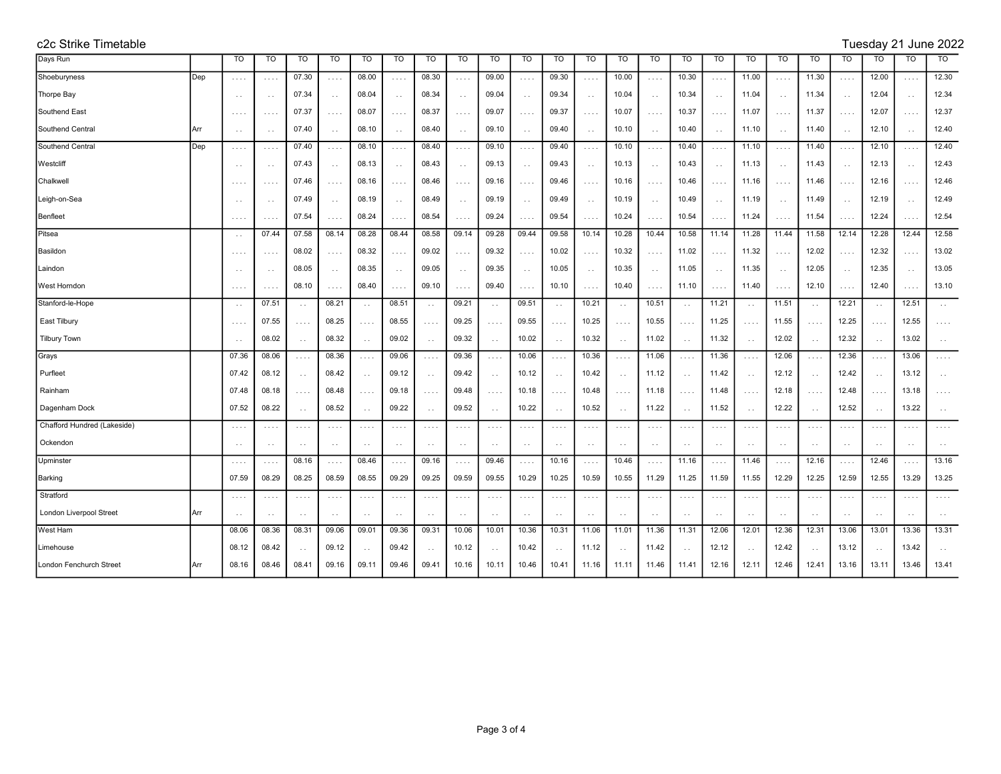| c2c Strike Timetable        |     |                      |                      |                 |                      |               |               |                      |               |                      |               |                             |               |                      |                       |               |                      |               |                      |               |               |                      |               | Tuesday 21 June 2022 |
|-----------------------------|-----|----------------------|----------------------|-----------------|----------------------|---------------|---------------|----------------------|---------------|----------------------|---------------|-----------------------------|---------------|----------------------|-----------------------|---------------|----------------------|---------------|----------------------|---------------|---------------|----------------------|---------------|----------------------|
| Days Run                    |     | TO                   | TO                   | TO              | TO                   | TO            | <b>TO</b>     | TO                   | TO            | TO                   | TO            | TO                          | TO            | TO                   | TO                    | TO            | TO                   | TO            | TO                   | TO            | <b>TO</b>     | TO                   | TO            | TO                   |
| Shoeburyness                | Dep | $\ldots$ .           | $\ldots$ .           | 07.30           | $\cdots$             | 08.00         | $\ldots$ .    | 08.30                | $\cdots$      | 09.00                | $\cdots$      | 09.30                       | $\ldots$ .    | 10.00                | $\ldots$ .            | 10.30         | $\ldots$ .           | 11.00         | $\cdots$             | 11.30         | $\cdots$      | 12.00                | $\ldots$ .    | 12.30                |
| Thorpe Bay                  |     | $\sim$ $\sim$        | $\cdots$             | 07.34           | $\cdots$             | 08.04         | $\sim$        | 08.34                | $\sim$ .      | 09.04                | $\sim$ .      | 09.34                       | $\sim$ $\sim$ | 10.04                | $\sim$                | 10.34         | $\cdots$             | 11.04         | $\sim$ $\sim$        | 11.34         | $\ddotsc$     | 12.04                | $\sim$ .      | 12.34                |
| Southend East               |     | $\cdots$             | $\sim$ $\sim$ $\sim$ | 07.37           | $\cdots$             | 08.07         | $\cdots$      | 08.37                | .             | 09.07                | $\cdots$      | 09.37                       | $\ldots$ .    | 10.07                | $\sim$ $\sim$ $\sim$  | 10.37         | $\cdots$             | 11.07         | $\cdots$             | 11.37         | $\cdots$      | 12.07                | $\ldots$ .    | 12.37                |
| Southend Central            | Arr | $\ldots$             | $\ddotsc$            | 07.40           | $\ddotsc$            | 08.10         | $\sim$ $\sim$ | 08.40                | $\sim$ $\sim$ | 09.10                | $\sim$ .      | 09.40                       | $\sim$ $\sim$ | 10.10                | $\ddots$              | 10.40         | $\ddots$             | 11.10         | $\ddotsc$            | 11.40         | $\ddots$      | 12.10                | $\sim$ .      | 12.40                |
| Southend Central            | Dep | $\ldots$ .           | $\cdots$             | 07.40           | $\cdots$             | 08.10         | $\ldots$ .    | 08.40                | $\ldots$ .    | 09.10                | $\cdots$      | 09.40                       | $\ldots$ .    | 10.10                | $\sim$ $\sim$ $\sim$  | 10.40         | $\ldots$ .           | 11.10         | $\cdots$             | 11.40         | $\cdots$ .    | 12.10                | $\ldots$      | 12.40                |
| Westcliff                   |     | $\ddots$             | $\ddots$             | 07.43           | $\ddots$             | 08.13         | $\sim$ .      | 08.43                | $\sim$ $\sim$ | 09.13                | $\sim$ .      | 09.43                       | $\sim$ $\sim$ | 10.13                | $\sim$                | 10.43         | $\ddots$             | 11.13         | $\ddots$             | 11.43         | $\sim$ .      | 12.13                | $\sim$ $\sim$ | 12.43                |
| Chalkwell                   |     | $\cdots$             | $\sim$ $\sim$ $\sim$ | 07.46           | $\cdots$             | 08.16         | $\cdots$      | 08.46                | .             | 09.16                | $\cdots$      | 09.46                       | $\ldots$ .    | 10.16                | $\ldots$ .            | 10.46         | $\sim$               | 11.16         | $\cdots$             | 11.46         | $\cdots$      | 12.16                | $\ldots$ .    | 12.46                |
| Leigh-on-Sea                |     | $\sim$ $\sim$        | $\cdots$             | 07.49           | $\ddotsc$            | 08.19         | $\sim$        | 08.49                | $\sim$ .      | 09.19                | $\sim$ .      | 09.49                       | $\sim$ $\sim$ | 10.19                | $\sim$ $\sim$         | 10.49         | $\ddotsc$            | 11.19         | $\ddot{\phantom{0}}$ | 11.49         | $\ddotsc$     | 12.19                | $\sim$ $\sim$ | 12.49                |
| Benfleet                    |     | $\cdots$             | $\ldots$ .           | 07.54           | $\cdots$             | 08.24         | $\ldots$ .    | 08.54                | $\cdots$      | 09.24                | $\ldots$ .    | 09.54                       | $\dots$ .     | 10.24                | $\ldots$ .            | 10.54         | $\ldots$ .           | 11.24         | $\cdots$             | 11.54         | $\ldots$ .    | 12.24                | $\ldots$ .    | 12.54                |
| Pitsea                      |     | $\sim$               | 07.44                | 07.58           | 08.14                | 08.28         | 08.44         | 08.58                | 09.14         | 09.28                | 09.44         | 09.58                       | 10.14         | 10.28                | 10.44                 | 10.58         | 11.14                | 11.28         | 11.44                | 11.58         | 12.14         | 12.28                | 12.44         | 12.58                |
| Basildon                    |     | $\sim$ $\sim$ $\sim$ | $\sim$ $\sim$ $\sim$ | 08.02           | $\sim$ $\sim$ $\sim$ | 08.32         | $\ldots$ .    | 09.02                | $\ldots$ .    | 09.32                | $\ldots$ .    | 10.02                       | $\ldots$ .    | 10.32                | $\alpha$ , $\alpha$ , | 11.02         | $\sim$ $\sim$ $\sim$ | 11.32         | $\cdots$             | 12.02         | $\ldots$ .    | 12.32                | $\ldots$ .    | 13.02                |
| Laindon                     |     | $\cdots$             | $\cdots$             | 08.05           | $\cdots$             | 08.35         | $\sim$ $\sim$ | 09.05                | $\sim$ $\sim$ | 09.35                | $\sim$ .      | 10.05                       | $\sim$ $\sim$ | 10.35                | $\sim$                | 11.05         | $\cdots$             | 11.35         | $\ddotsc$            | 12.05         | $\ddotsc$     | 12.35                | $\sim$ $\sim$ | 13.05                |
| West Horndon                |     | $\ldots$ .           | $\sim$ $\sim$ $\sim$ | 08.10           | $\sim$ $\sim$ $\sim$ | 08.40         | $\ldots$ .    | 09.10                | $\cdots$      | 09.40                | $\ldots$ .    | 10.10                       | $\ldots$ .    | 10.40                | $\sim$ $\sim$ $\sim$  | 11.10         | $\sim$ $\sim$ $\sim$ | 11.40         | $\cdots$             | 12.10         | $\ldots$ .    | 12.40                | $\ldots$ .    | 13.10                |
| Stanford-le-Hope            |     | $\cdot$ .            | 07.51                | $\cdot$ $\cdot$ | 08.21                | $\sim$ $\sim$ | 08.51         | $\cdots$             | 09.21         | $\cdot$ $\cdot$      | 09.51         | $\cdot$ $\cdot$             | 10.21         | $\cdot$ $\cdot$      | 10.51                 | $\sim$ .      | 11.21                | $\cdot$ .     | 11.51                | $\cdot$ .     | 12.21         | $\cdot$ .            | 12.51         | $\cdot$ $\cdot$      |
| East Tilbury                |     | $\cdots$             | 07.55                | $\ldots$ .      | 08.25                | $\ldots$ .    | 08.55         | $\ldots$ .           | 09.25         | $\sim$ $\sim$ $\sim$ | 09.55         | $\cdots$                    | 10.25         | $\cdots$             | 10.55                 | $\cdots$      | 11.25                | $\ldots$      | 11.55                | $\ldots$ .    | 12.25         | $\sim$ $\sim$ $\sim$ | 12.55         | $\cdots$             |
| <b>Tilbury Town</b>         |     | $\sim$ .             | 08.02                | $\sim$ .        | 08.32                | $\sim$ $\sim$ | 09.02         | $\sim$ .             | 09.32         | $\sim$ $\sim$        | 10.02         | $\ldots$                    | 10.32         | $\ddotsc$            | 11.02                 | $\sim$ $\sim$ | 11.32                | $\sim$ .      | 12.02                | $\sim$ .      | 12.32         | $\ldots$             | 13.02         | $\ddotsc$            |
| Grays                       |     | 07.36                | 08.06                | $\ldots$ .      | 08.36                | $\ldots$ .    | 09.06         | $\sim$ $\sim$ $\sim$ | 09.36         | $\ldots$ .           | 10.06         | $\sim$ $\sim$ $\sim$ $\sim$ | 10.36         | $\ldots$ .           | 11.06                 | $\ldots$ .    | 11.36                | $\ldots$ .    | 12.06                | $\ldots$ .    | 12.36         | $\sim$ $\sim$ $\sim$ | 13.06         | $\ldots$ .           |
| Purfleet                    |     | 07.42                | 08.12                | $\sim$ $\sim$   | 08.42                | $\sim$ $\sim$ | 09.12         | $\sim$ .             | 09.42         | $\sim$ $\sim$        | 10.12         | $\ddotsc$                   | 10.42         | $\ddotsc$            | 11.12                 | $\sim$ $\sim$ | 11.42                | $\sim$ $\sim$ | 12.12                | $\sim$ .      | 12.42         | $\sim$               | 13.12         |                      |
| Rainham                     |     | 07.48                | 08.18                | $\cdots$ .      | 08.48                | $\ldots$ .    | 09.18         | $\ldots$ .           | 09.48         | $\cdots$             | 10.18         | $\ldots$ .                  | 10.48         | $\cdots$             | 11.18                 | $\ldots$ .    | 11.48                | $\ldots$ .    | 12.18                | $\ldots$ .    | 12.48         | $\cdots$             | 13.18         | $\cdots$             |
| Dagenham Dock               |     | 07.52                | 08.22                | $\ddots$        | 08.52                | $\sim$ $\sim$ | 09.22         | $\ddots$             | 09.52         | $\ddotsc$            | 10.22         | $\ddotsc$                   | 10.52         |                      | 11.22                 | $\sim$ $\sim$ | 11.52                | $\ddotsc$     | 12.22                | $\ddots$      | 12.52         | $\ddotsc$            | 13.22         | $\ddotsc$            |
| Chafford Hundred (Lakeside) |     | $\ldots$ .           | $\ldots$ .           | $\dots$ .       | $\cdots$             | $\ldots$ .    | $\ldots$ .    | $\ldots$ .           | $\dots$ .     | $\ldots$ .           | $\cdots$      | $\cdots$                    | $\dots$ .     | $\cdots$             | $\cdots$              | $\cdots$      | $\cdots$             | $\ldots$ .    | $\cdots$             | $\cdots$      | $\cdots$      | $\cdots$             | $\ldots$ .    | .                    |
| Ockendon                    |     | $\ddotsc$            | $\ddotsc$            | $\ddotsc$       | $\ddotsc$            | $\sim$ $\sim$ | $\ddotsc$     | $\ddots$             | $\sim$ $\sim$ | $\ddots$             | $\sim$ .      | $\ddot{\phantom{0}}$        | $\sim$ $\sim$ | $\ddotsc$            | $\ldots$              | $\sim$ $\sim$ | $\ddotsc$            | $\ldots$      | $\sim$ $\sim$        | $\sim$        | $\ddotsc$     | $\ddotsc$            | $\sim$ .      |                      |
| Upminster                   |     | $\ldots$ .           | $\cdots$             | 08.16           | $\ldots$ .           | 08.46         | $\cdots$      | 09.16                | $\ldots$ .    | 09.46                | $\ldots$ .    | 10.16                       | $\ldots$ .    | 10.46                | $\cdots$              | 11.16         | $\cdots$             | 11.46         | $\ldots$ .           | 12.16         | $\ldots$ .    | 12.46                | $\cdots$      | 13.16                |
| Barking                     |     | 07.59                | 08.29                | 08.25           | 08.59                | 08.55         | 09.29         | 09.25                | 09.59         | 09.55                | 10.29         | 10.25                       | 10.59         | 10.55                | 11.29                 | 11.25         | 11.59                | 11.55         | 12.29                | 12.25         | 12.59         | 12.55                | 13.29         | 13.25                |
| Stratford                   |     | $\ldots$ .           | $\cdots$             | $\cdots$        | $\ldots$ .           | $\dots$ .     | $\cdots$      | $\ldots$ .           | $\ldots$ .    | $\cdots$             | $\ldots$      | $\cdots$                    | $\cdots$      | $\cdots$             | $\ldots$ .            | $\cdots$      | $\cdots$             | $\cdots$      | $\cdots$             | $\cdots$      | $\cdots$      | $\cdots$             | $\ldots$ .    | .                    |
| London Liverpool Street     | Arr | $\cdot$ .            | $\sim$ .             | $\ldots$        | $\ddots$             | $\sim$ $\sim$ | $\sim$ .      | $\sim$ .             | $\sim$ $\sim$ | $\sim$ .             | $\sim$ $\sim$ | $\ddots$                    | $\sim$ $\sim$ | $\ddots$             | $\sim$ $\sim$         | $\sim$ $\sim$ | $\sim$ $\sim$        | $\sim$ $\sim$ | $\sim$ $\sim$        | $\sim$ $\sim$ | $\sim$ $\sim$ | $\sim$ $\sim$        | $\sim$ $\sim$ | $\sim$ .             |
| West Ham                    |     | 08.06                | 08.36                | 08.31           | 09.06                | 09.01         | 09.36         | 09.31                | 10.06         | 10.01                | 10.36         | 10.31                       | 11.06         | 11.01                | 11.36                 | 11.31         | 12.06                | 12.01         | 12.36                | 12.31         | 13.06         | 13.01                | 13.36         | 13.31                |
| Limehouse                   |     | 08.12                | 08.42                | $\ddotsc$       | 09.12                | $\ddots$      | 09.42         | $\cdots$             | 10.12         | $\ddotsc$            | 10.42         | $\ddot{\phantom{0}}$        | 11.12         | $\ddot{\phantom{0}}$ | 11.42                 | $\sim$ $\sim$ | 12.12                | $\ddotsc$     | 12.42                | $\cdots$      | 13.12         | $\sim$ .             | 13.42         |                      |
| London Fenchurch Street     | Arr | 08.16                | 08.46                | 08.41           | 09.16                | 09.11         | 09.46         | 09.41                | 10.16         | 10.11                | 10.46         | 10.41                       | 11.16         | 11.11                | 11.46                 | 11.41         | 12.16                | 12.11         | 12.46                | 12.41         | 13.16         | 13.11                | 13.46         | 13.41                |

Page 3 of 4